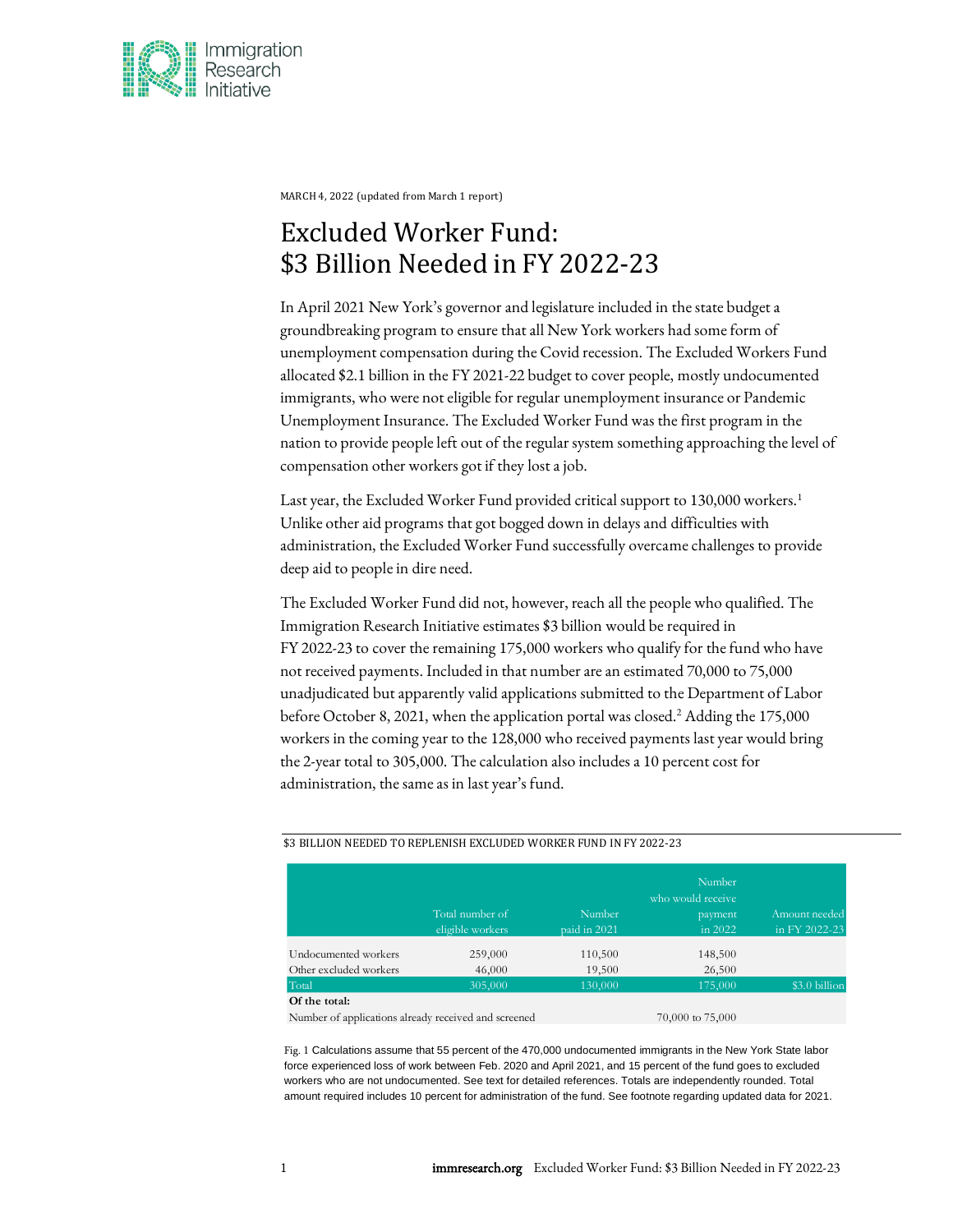

MARCH 4, 2022 (updated from March 1 report)

# Excluded Worker Fund: \$3 Billion Needed in FY 2022-23

In April 2021 New York's governor and legislature included in the state budget a groundbreaking program to ensure that all New York workers had some form of unemployment compensation during the Covid recession. The Excluded Workers Fund allocated \$2.1 billion in the FY 2021-22 budget to cover people, mostly undocumented immigrants, who were not eligible for regular unemployment insurance or Pandemic Unemployment Insurance. The Excluded Worker Fund was the first program in the nation to provide people left out of the regular system something approaching the level of compensation other workers got if they lostajob.

Last year, the Excluded Worker Fund provided critical support to 130,000 workers.<sup>1</sup> Unlike other aid programs that got bogged down in delays and difficulties with administration, the Excluded Worker Fund successfully overcame challenges to provide deep aid to people in dire need.

The Excluded Worker Fund did not, however, reach all the people who qualified. The Immigration Research Initiative estimates \$3 billion would be required in FY 2022-23 to cover the remaining 175,000 workers who qualify for the fund who have not received payments. Included in that number are an estimated 70,000 to 75,000 unadjudicated but apparently valid applications submitted to the Department of Labor before October 8, 2021, when the application portal was closed.<sup>2</sup> Adding the 175,000 workers in the coming year to the 128,000 who received payments last year would bring the 2-year total to 305,000. The calculation also includes a 10 percent cost for administration, the same as in last year's fund.

|                        |                                     |                        | Number<br>who would receive     |                                |
|------------------------|-------------------------------------|------------------------|---------------------------------|--------------------------------|
|                        | Total number of<br>eligible workers | Number<br>paid in 2021 | payment<br>in $2\overline{0}22$ | Amount needed<br>in FY 2022-23 |
|                        |                                     |                        |                                 |                                |
| Undocumented workers   | 259,000                             | 110,500                | 148,500                         |                                |
| Other excluded workers | 46,000                              | 19,500                 | 26,500                          |                                |
| Total                  | 305,000                             | 130,000                | 175,000                         | \$3.0 billion                  |

#### \$3 BILLION NEEDED TO REPLENISH EXCLUDED WORKER FUND IN FY 2022-23

Number of applications already received and screened  $70,000$  to  $75,000$ 

Fig. 1 Calculations assume that 55 percent of the 470,000 undocumented immigrants in the New York State labor force experienced loss of work between Feb. 2020 and April 2021, and 15 percent of the fund goes to excluded workers who are not undocumented. See text for detailed references. Totals are independently rounded. Total amount required includes 10 percent for administration of the fund. See footnote regarding updated data for 2021.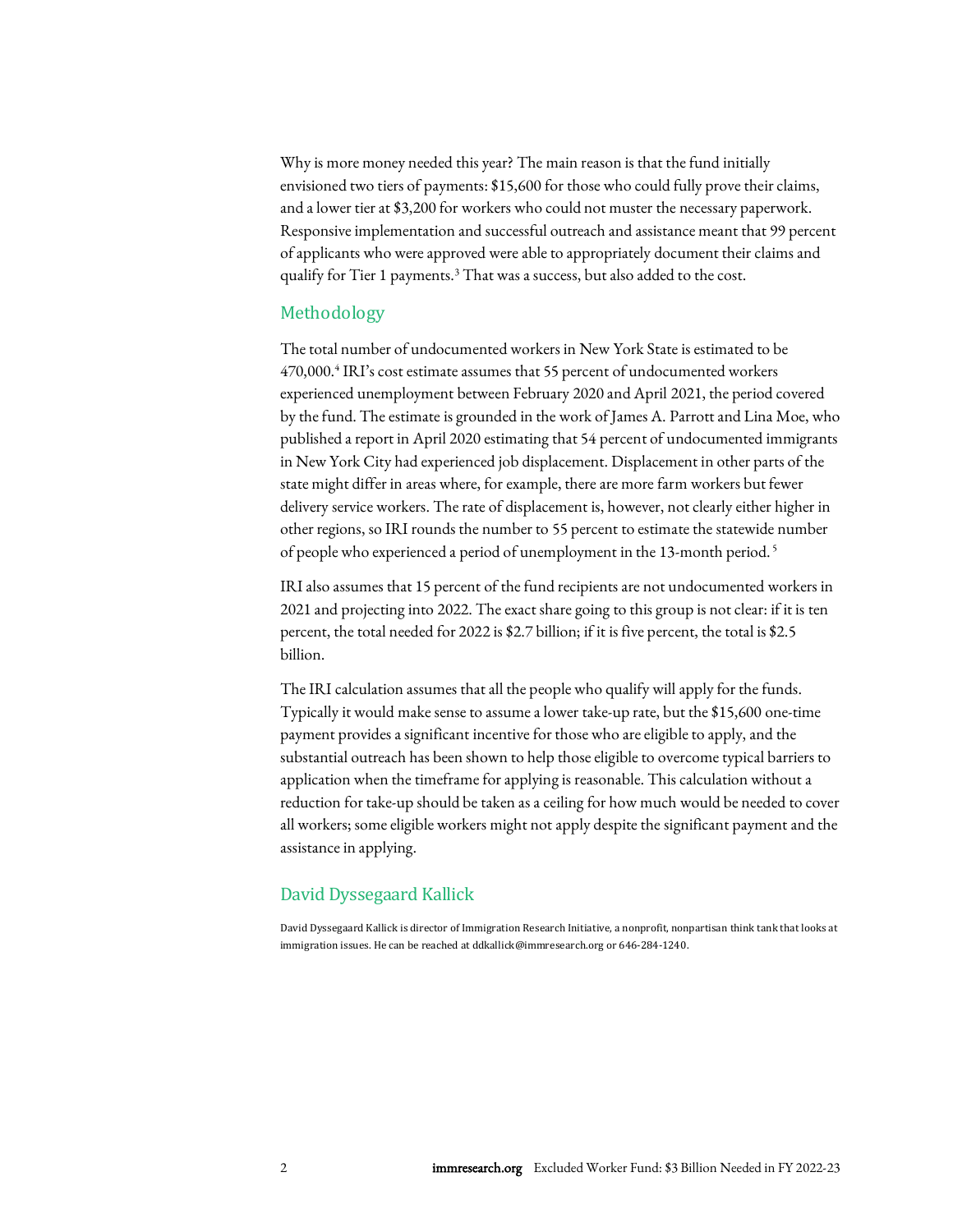Why is more money needed this year? The main reason is that the fund initially envisioned two tiers of payments: \$15,600 for those who could fully prove their claims, and a lower tier at \$3,200 for workers who could not muster the necessary paperwork. Responsive implementation and successful outreach and assistance meant that 99 percent of applicants who were approved were able to appropriately document their claims and qualify for Tier 1 payments.<sup>3</sup> That was a success, but also added to the cost.

### Methodology

The total number of undocumented workers in New York State is estimated to be 470,000.<sup>4</sup> IRI's cost estimate assumes that 55 percent of undocumented workers experienced unemployment between February 2020 and April 2021, the period covered by thefund. The estimate is grounded in the work of James A. Parrottand Lina Moe, who published a report in April 2020 estimating that 54 percent of undocumented immigrants in New York City had experienced job displacement. Displacement in other parts of the state might differ in areas where, for example, there are more farm workers but fewer delivery service workers. The rate of displacement is, however, not clearly either higher in other regions, so IRI rounds the number to 55 percent to estimate the statewide number of people who experienced a period of unemployment in the 13-month period. 5

IRI also assumes that 15 percent of the fund recipients are not undocumented workers in 2021 and projecting into 2022. The exact share going to this group is not clear: if it is ten percent, the total needed for 2022 is \$2.7 billion; if it is five percent, the total is \$2.5 billion.

The IRI calculation assumes that all the people who qualify will apply for the funds. Typically it would make sense to assume a lower take-up rate, but the \$15,600 one-time payment provides a significant incentive for those who are eligible to apply, and the substantial outreach has been shown to help those eligible to overcome typical barriers to application when the timeframe for applying is reasonable. This calculation without a reduction for take-up should be taken as a ceiling for how much would be needed to cover all workers; some eligible workers might not apply despite the significant payment and the assistance in applying.

#### David Dyssegaard Kallick

David Dyssegaard Kallick is director of Immigration Research Initiative, a nonprofit, nonpartisan think tank that looks at immigration issues. He can be reached at [ddkallick@immresearch.org](mailto:ddkallick@immresearch.org) or 646-284-1240.